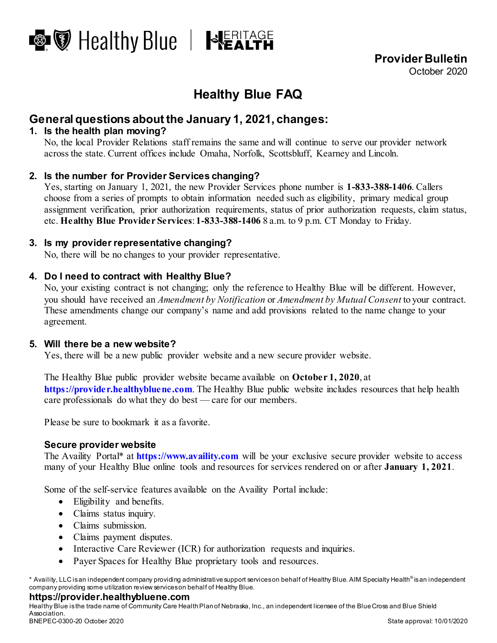

**Provider Bulletin** October 2020

# **Healthy Blue FAQ**

## **General questions about the January 1, 2021, changes:**

#### **1. Is the health plan moving?**

No, the local Provider Relations staff remains the same and will continue to serve our provider network across the state. Current offices include Omaha, Norfolk, Scottsbluff, Kearney and Lincoln.

#### **2. Is the number for Provider Services changing?**

Yes, starting on January 1, 2021, the new Provider Services phone number is **1-833-388-1406**. Callers choose from a series of prompts to obtain information needed such as eligibility, primary medical group assignment verification, prior authorization requirements, status of prior authorization requests, claim status, etc. **Healthy Blue Provider Services**: **1-833-388-1406** 8 a.m. to 9 p.m. CT Monday to Friday.

#### **3. Is my provider representative changing?**

No, there will be no changes to your provider representative.

#### **4. Do I need to contract with Healthy Blue?**

No, your existing contract is not changing; only the reference to Healthy Blue will be different. However, you should have received an *Amendment by Notification* or *Amendment by Mutual Consent* to your contract. These amendments change our company's name and add provisions related to the name change to your agreement.

#### **5. Will there be a new website?**

Yes, there will be a new public provider website and a new secure provider website.

The Healthy Blue public provider website became available on **October 1, 2020**, at **[https://provider.healthybluene.com](https://provider.healthybluene.com/)**. The Healthy Blue public website includes resources that help health care professionals do what they do best — care for our members.

Please be sure to bookmark it as a favorite.

#### **Secure provider website**

The Availity Portal\* at **[https://www.availity.com](https://www.availity.com/)** will be your exclusive secure provider website to access many of your Healthy Blue online tools and resources for services rendered on or after **January 1, 2021**.

Some of the self-service features available on the Availity Portal include:

- Eligibility and benefits.
- Claims status inquiry.
- Claims submission.
- Claims payment disputes.
- Interactive Care Reviewer (ICR) for authorization requests and inquiries.
- Payer Spaces for Healthy Blue proprietary tools and resources.

\* Availity, LLC is an independent company providing administrative support services on behalf of Healthy Blue. AIM Specialty Health® is an independent company providing some utilization review services on behalf of Healthy Blue.

#### **https://provider.healthybluene.com**

Healthy Blue is the trade name of Community Care Health Plan of Nebraska, Inc., an independent licensee of the Blue Cross and Blue Shield Association. BNEPEC-0300-20 October 2020 State approval: 10/01/2020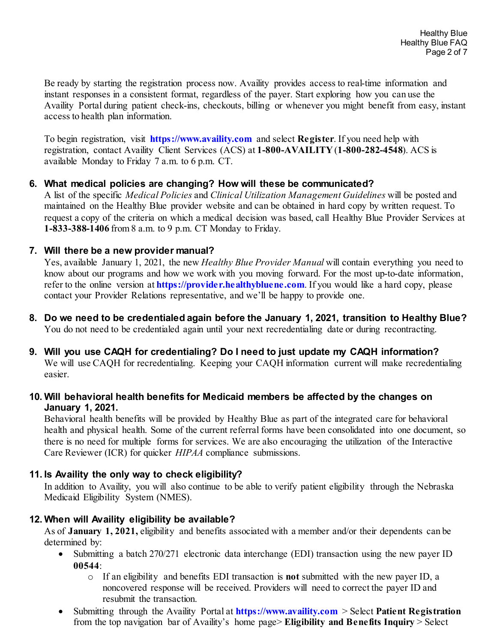Be ready by starting the registration process now. Availity provides access to real-time information and instant responses in a consistent format, regardless of the payer. Start exploring how you can use the Availity Portal during patient check-ins, checkouts, billing or whenever you might benefit from easy, instant access to health plan information.

To begin registration, visit **[https://www.availity.com](https://www.availity.com/)** and select **Register**. If you need help with registration, contact Availity Client Services (ACS) at **1-800-AVAILITY** (**1-800-282-4548**). ACS is available Monday to Friday 7 a.m. to 6 p.m. CT.

#### **6. What medical policies are changing? How will these be communicated?**

A list of the specific *Medical Policies* and *Clinical Utilization Management Guidelines* will be posted and maintained on the Healthy Blue provider website and can be obtained in hard copy by written request. To request a copy of the criteria on which a medical decision was based, call Healthy Blue Provider Services at **1-833-388-1406** from 8 a.m. to 9 p.m. CT Monday to Friday.

#### **7. Will there be a new provider manual?**

Yes, available January 1, 2021, the new *Healthy Blue Provider Manual* will contain everything you need to know about our programs and how we work with you moving forward. For the most up-to-date information, refer to the online version at **[https://provider.healthybluene.com](https://provider.healthybluene.com/)**. If you would like a hard copy, please contact your Provider Relations representative, and we'll be happy to provide one.

- **8. Do we need to be credentialed again before the January 1, 2021, transition to Healthy Blue?** You do not need to be credentialed again until your next recredentialing date or during recontracting.
- **9. Will you use CAQH for credentialing? Do I need to just update my CAQH information?** We will use CAQH for recredentialing. Keeping your CAQH information current will make recredentialing easier.

#### **10. Will behavioral health benefits for Medicaid members be affected by the changes on January 1, 2021.**

Behavioral health benefits will be provided by Healthy Blue as part of the integrated care for behavioral health and physical health. Some of the current referral forms have been consolidated into one document, so there is no need for multiple forms for services. We are also encouraging the utilization of the Interactive Care Reviewer (ICR) for quicker *HIPAA* compliance submissions.

#### **11. Is Availity the only way to check eligibility?**

In addition to Availity, you will also continue to be able to verify patient eligibility through the Nebraska Medicaid Eligibility System (NMES).

#### **12. When will Availity eligibility be available?**

As of **January 1, 2021,** eligibility and benefits associated with a member and/or their dependents can be determined by:

- Submitting a batch 270/271 electronic data interchange (EDI) transaction using the new payer ID **00544**:
	- o If an eligibility and benefits EDI transaction is **not** submitted with the new payer ID, a noncovered response will be received. Providers will need to correct the payer ID and resubmit the transaction.
- Submitting through the Availity Portal at **[https://www.availity.com](https://www.availity.com/)** > Select **Patient Registration** from the top navigation bar of Availity's home page> **Eligibility and Benefits Inquiry** > Select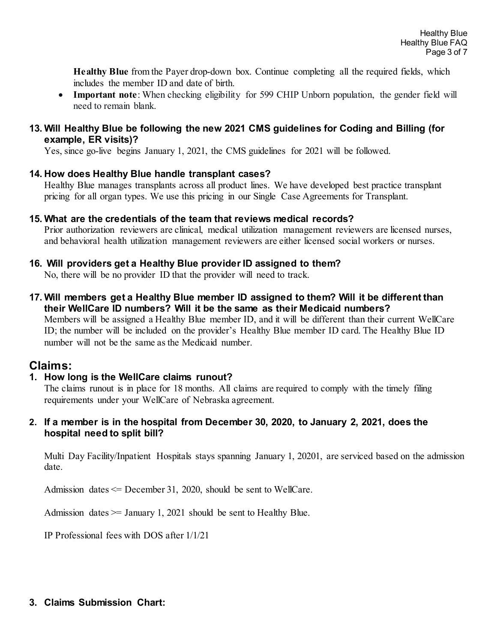**Healthy Blue** from the Payer drop-down box. Continue completing all the required fields, which includes the member ID and date of birth.

• **Important note**: When checking eligibility for 599 CHIP Unborn population, the gender field will need to remain blank.

#### **13. Will Healthy Blue be following the new 2021 CMS guidelines for Coding and Billing (for example, ER visits)?**

Yes, since go-live begins January 1, 2021, the CMS guidelines for 2021 will be followed.

#### **14. How does Healthy Blue handle transplant cases?**

Healthy Blue manages transplants across all product lines. We have developed best practice transplant pricing for all organ types. We use this pricing in our Single Case Agreements for Transplant.

#### **15. What are the credentials of the team that reviews medical records?**

Prior authorization reviewers are clinical, medical utilization management reviewers are licensed nurses, and behavioral health utilization management reviewers are either licensed social workers or nurses.

#### **16. Will providers get a Healthy Blue provider ID assigned to them?**

No, there will be no provider ID that the provider will need to track.

**17. Will members get a Healthy Blue member ID assigned to them? Will it be different than their WellCare ID numbers? Will it be the same as their Medicaid numbers?**

Members will be assigned a Healthy Blue member ID, and it will be different than their current WellCare ID; the number will be included on the provider's Healthy Blue member ID card. The Healthy Blue ID number will not be the same as the Medicaid number.

## **Claims:**

#### **1. How long is the WellCare claims runout?**

The claims runout is in place for 18 months. All claims are required to comply with the timely filing requirements under your WellCare of Nebraska agreement.

#### **2. If a member is in the hospital from December 30, 2020, to January 2, 2021, does the hospital need to split bill?**

Multi Day Facility/Inpatient Hospitals stays spanning January 1, 20201, are serviced based on the admission date.

Admission dates  $\leq$  December 31, 2020, should be sent to WellCare.

Admission dates  $\ge$  January 1, 2021 should be sent to Healthy Blue.

IP Professional fees with DOS after 1/1/21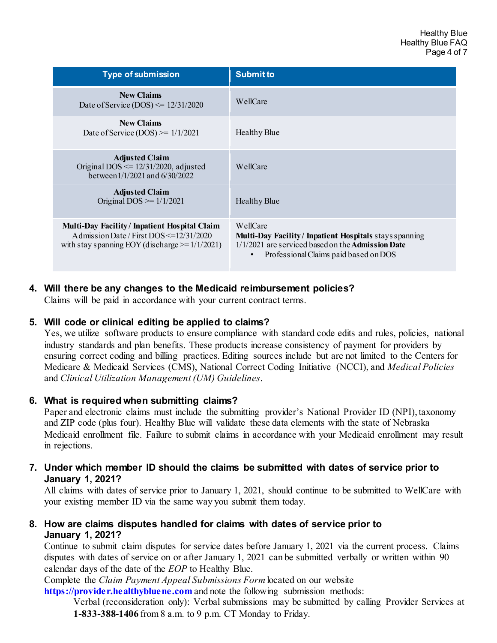| <b>Type of submission</b>                                                                                                                             | <b>Submit to</b>                                                                                                                                                |
|-------------------------------------------------------------------------------------------------------------------------------------------------------|-----------------------------------------------------------------------------------------------------------------------------------------------------------------|
| <b>New Claims</b><br>Date of Service (DOS) $\leq$ 12/31/2020                                                                                          | WellCare                                                                                                                                                        |
| <b>New Claims</b><br>Date of Service (DOS) $> = 1/1/2021$                                                                                             | Healthy Blue                                                                                                                                                    |
| <b>Adjusted Claim</b><br>Original DOS $\leq$ 12/31/2020, adjusted<br>between 1/1/2021 and 6/30/2022                                                   | WellCare                                                                                                                                                        |
| <b>Adjusted Claim</b><br>Original DOS $\ge$ 1/1/2021                                                                                                  | <b>Healthy Blue</b>                                                                                                                                             |
| Multi-Day Facility/Inpatient Hospital Claim<br>A dmission Date / First DOS $\leq$ = 12/31/2020<br>with stay spanning EOY (discharge $\ge$ = 1/1/2021) | WellCare<br>Multi-Day Facility/Inpatient Hospitals stays spanning<br>1/1/2021 are serviced based on the Admission Date<br>Professional Claims paid based on DOS |

#### **4. Will there be any changes to the Medicaid reimbursement policies?**

Claims will be paid in accordance with your current contract terms.

#### **5. Will code or clinical editing be applied to claims?**

Yes, we utilize software products to ensure compliance with standard code edits and rules, policies, national industry standards and plan benefits. These products increase consistency of payment for providers by ensuring correct coding and billing practices. Editing sources include but are not limited to the Centers for Medicare & Medicaid Services (CMS), National Correct Coding Initiative (NCCI), and *Medical Policies* and *Clinical Utilization Management (UM) Guidelines*.

#### **6. What is required when submitting claims?**

Paper and electronic claims must include the submitting provider's National Provider ID (NPI), taxonomy and ZIP code (plus four). Healthy Blue will validate these data elements with the state of Nebraska Medicaid enrollment file. Failure to submit claims in accordance with your Medicaid enrollment may result in rejections.

#### **7. Under which member ID should the claims be submitted with dates of service prior to January 1, 2021?**

All claims with dates of service prior to January 1, 2021, should continue to be submitted to WellCare with your existing member ID via the same way you submit them today.

#### **8. How are claims disputes handled for claims with dates of service prior to January 1, 2021?**

Continue to submit claim disputes for service dates before January 1, 2021 via the current process. Claims disputes with dates of service on or after January 1, 2021 can be submitted verbally or written within 90 calendar days of the date of the *EOP* to Healthy Blue.

Complete the *Claim Payment Appeal Submissions Form* located on our website

**[https://provider.healthybluene.com](https://provider.healthybluene.com/)** and note the following submission methods:

Verbal (reconsideration only): Verbal submissions may be submitted by calling Provider Services at **1-833-388-1406** from 8 a.m. to 9 p.m. CT Monday to Friday.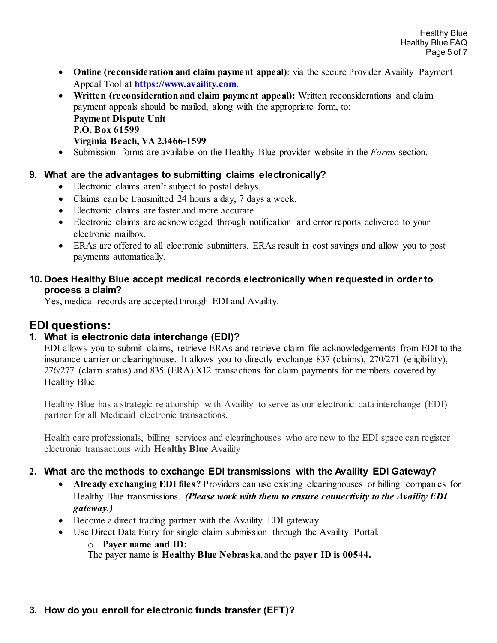- **Online (reconsideration and claim payment appeal)**: via the secure Provider Availity Payment Appeal Tool at **[https://www.availity.com](https://www.availity.com/)**.
- **Written (reconsideration and claim payment appeal):** Written reconsiderations and claim payment appeals should be mailed, along with the appropriate form, to:

**Payment Dispute Unit P.O. Box 61599 Virginia Beach, VA 23466-1599**

• Submission forms are available on the Healthy Blue provider website in the *Forms* section.

#### **9. What are the advantages to submitting claims electronically?**

- Electronic claims aren't subject to postal delays.
- Claims can be transmitted 24 hours a day, 7 days a week.
- Electronic claims are faster and more accurate.
- Electronic claims are acknowledged through notification and error reports delivered to your electronic mailbox.
- ERAs are offered to all electronic submitters. ERAs result in cost savings and allow you to post payments automatically.

#### **10. Does Healthy Blue accept medical records electronically when requested in order to process a claim?**

Yes, medical records are accepted through EDI and Availity.

## **EDI questions:**

## **1. What is electronic data interchange (EDI)?**

EDI allows you to submit claims, retrieve ERAs and retrieve claim file acknowledgements from EDI to the insurance carrier or clearinghouse. It allows you to directly exchange 837 (claims), 270/271 (eligibility), 276/277 (claim status) and 835 (ERA) X12 transactions for claim payments for members covered by Healthy Blue.

Healthy Blue has a strategic relationship with Availity to serve as our electronic data interchange (EDI) partner for all Medicaid electronic transactions.

Health care professionals, billing services and clearinghouses who are new to the EDI space can register electronic transactions with **Healthy Blue** Availity

#### **2. What are the methods to exchange EDI transmissions with the Availity EDI Gateway?**

- **Already exchanging EDI files?** Providers can use existing clearinghouses or billing companies for Healthy Blue transmissions. *(Please work with them to ensure connectivity to the Availity EDI gateway.)*
- Become a direct trading partner with the Availity EDI gateway.
- Use Direct Data Entry for single claim submission through the Availity Portal.

o **Payer name and ID:** The payer name is **Healthy Blue Nebraska**, and the **payer ID is 00544.**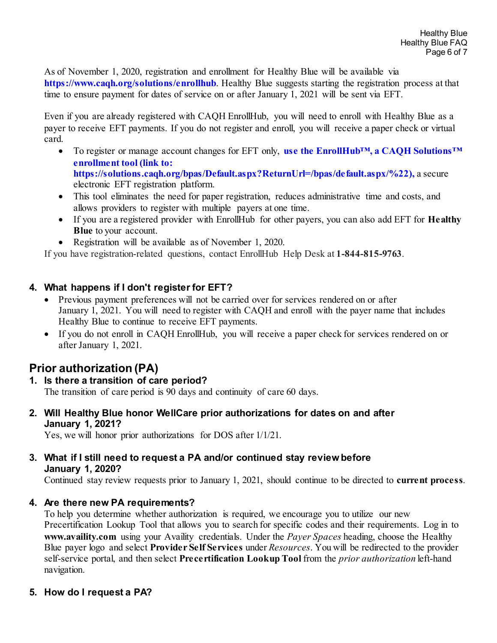As of November 1, 2020, registration and enrollment for Healthy Blue will be available via **<https://www.caqh.org/solutions/enrollhub>**. Healthy Blue suggests starting the registration process at that time to ensure payment for dates of service on or after January 1, 2021 will be sent via EFT.

Even if you are already registered with CAQH EnrollHub, you will need to enroll with Healthy Blue as a payer to receive EFT payments. If you do not register and enroll, you will receive a paper check or virtual card.

- To register or manage account changes for EFT only, **use the EnrollHub™, a CAQH Solutions™ enrollment tool (link to: https://solutions.caqh.org/bpas/Default.aspx?ReturnUrl=/bpas/default.aspx/%22),** a secure electronic EFT registration platform.
- This tool eliminates the need for paper registration, reduces administrative time and costs, and allows providers to register with multiple payers at one time.
- If you are a registered provider with EnrollHub for other payers, you can also add EFT for **Healthy Blue** to your account.
- Registration will be available as of November 1, 2020.

If you have registration-related questions, contact EnrollHub Help Desk at **1-844-815-9763**.

### **4. What happens if I don't register for EFT?**

- Previous payment preferences will not be carried over for services rendered on or after January 1, 2021. You will need to register with CAQH and enroll with the payer name that includes Healthy Blue to continue to receive EFT payments.
- If you do not enroll in CAQH EnrollHub, you will receive a paper check for services rendered on or after January 1, 2021.

# **Prior authorization (PA)**

## **1. Is there a transition of care period?**

The transition of care period is 90 days and continuity of care 60 days.

**2. Will Healthy Blue honor WellCare prior authorizations for dates on and after January 1, 2021?**

Yes, we will honor prior authorizations for DOS after 1/1/21.

#### **3. What if I still need to request a PA and/or continued stay review before January 1, 2020?**

Continued stay review requests prior to January 1, 2021, should continue to be directed to **current process**.

#### **4. Are there new PA requirements?**

To help you determine whether authorization is required, we encourage you to utilize our new Precertification Lookup Tool that allows you to search for specific codes and their requirements. Log in to **www.availity.com** using your Availity credentials. Under the *Payer Spaces* heading, choose the Healthy Blue payer logo and select **Provider Self Services** under *Resources*. You will be redirected to the provider self-service portal, and then select **Precertification Lookup Tool** from the *prior authorization* left-hand navigation.

## **5. How do I request a PA?**